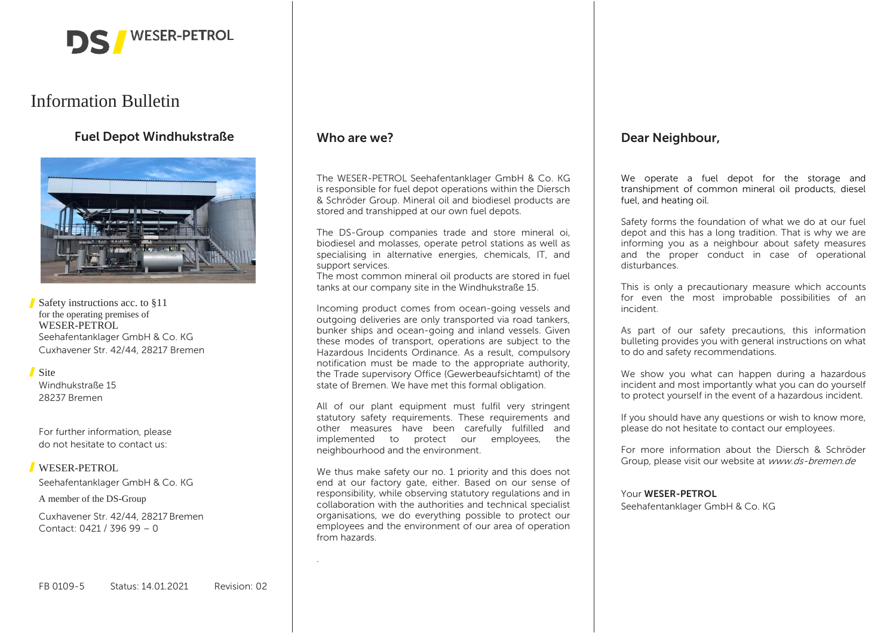

# Information Bulletin

## **Fuel Depot Windhukstraße**



Safety instructions acc. to §11 for the operating premises of WESER-PETROL Seehafentanklager GmbH & Co. KG Cuxhavener Str. 42/44, 28217 Bremen

#### Site

Windhukstraße 15 28237 Bremen

For further information, please do not hesitate to contact us:

#### WESER-PETROL

Seehafentanklager GmbH & Co. KG

A member of the DS-Group

Cuxhavener Str. 42/44, 28217 Bremen Contact: 0421 / 396 99 – 0

### **Who are we?**

.

The WESER-PETROL Seehafentanklager GmbH & Co. KG is responsible for fuel depot operations within the Diersch & Schröder Group. Mineral oil and biodiesel products are stored and transhipped at our own fuel depots.

The DS-Group companies trade and store mineral oi, biodiesel and molasses, operate petrol stations as well as specialising in alternative energies, chemicals, IT, and support services.

The most common mineral oil products are stored in fuel tanks at our company site in the Windhukstraße 15.

Incoming product comes from ocean-going vessels and outgoing deliveries are only transported via road tankers, bunker ships and ocean-going and inland vessels. Given these modes of transport, operations are subject to the Hazardous Incidents Ordinance. As a result, compulsory notification must be made to the appropriate authority, the Trade supervisory Office (Gewerbeaufsichtamt) of the state of Bremen. We have met this formal obligation.

All of our plant equipment must fulfil very stringent statutory safety requirements. These requirements and other measures have been carefully fulfilled and implemented to protect our employees, the neighbourhood and the environment.

We thus make safety our no. 1 priority and this does not end at our factory gate, either. Based on our sense of responsibility, while observing statutory regulations and in collaboration with the authorities and technical specialist organisations, we do everything possible to protect our employees and the environment of our area of operation from hazards.

### **Dear Neighbour,**

We operate a fuel depot for the storage and transhipment of common mineral oil products, diesel fuel, and heating oil.

Safety forms the foundation of what we do at our fuel depot and this has a long tradition. That is why we are informing you as a neighbour about safety measures and the proper conduct in case of operational disturbances.

This is only a precautionary measure which accounts for even the most improbable possibilities of an incident.

As part of our safety precautions, this information bulleting provides you with general instructions on what to do and safety recommendations.

We show you what can happen during a hazardous incident and most importantly what you can do yourself to protect yourself in the event of a hazardous incident.

If you should have any questions or wish to know more, please do not hesitate to contact our employees.

For more information about the Diersch & Schröder Group, please visit our website at www.ds-bremen.de

#### Your **WESER-PETROL**

Seehafentanklager GmbH & Co. KG